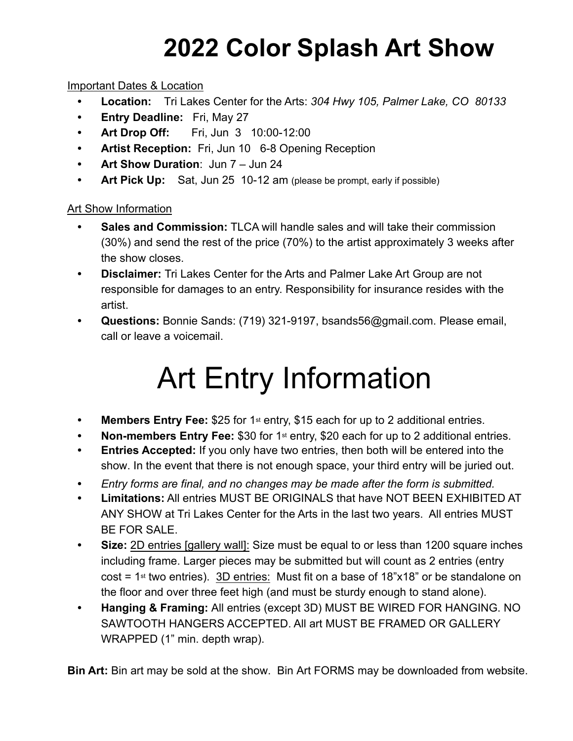## **2022 Color Splash Art Show**

#### Important Dates & Location

- **Location:** Tri Lakes Center for the Arts: *304 Hwy 105, Palmer Lake, CO 80133*
- **Entry Deadline:** Fri, May 27
- **• Art Drop Off:** Fri, Jun 3 10:00-12:00
- **Artist Reception:** Fri, Jun 10 6-8 Opening Reception
- **Art Show Duration**: Jun 7 Jun 24
- Art Pick Up: Sat, Jun 25 10-12 am (please be prompt, early if possible)

#### Art Show Information

- **• Sales and Commission:** TLCA will handle sales and will take their commission (30%) and send the rest of the price (70%) to the artist approximately 3 weeks after the show closes.
- **• Disclaimer:** Tri Lakes Center for the Arts and Palmer Lake Art Group are not responsible for damages to an entry. Responsibility for insurance resides with the artist.
- **• Questions:** Bonnie Sands: (719) 321-9197, bsands56@gmail.com. Please email, call or leave a voicemail.

# Art Entry Information

- Members Entry Fee: \$25 for 1<sup>st</sup> entry, \$15 each for up to 2 additional entries.
- **Non-members Entry Fee: \$30 for 1<sup>st</sup> entry, \$20 each for up to 2 additional entries.**
- **Entries Accepted:** If you only have two entries, then both will be entered into the show. In the event that there is not enough space, your third entry will be juried out.
- **•** *Entry forms are final, and no changes may be made after the form is submitted.*
- **Limitations:** All entries MUST BE ORIGINALS that have NOT BEEN EXHIBITED AT ANY SHOW at Tri Lakes Center for the Arts in the last two years. All entries MUST BE FOR SALE.
- **Size:** 2D entries [gallery wall]: Size must be equal to or less than 1200 square inches including frame. Larger pieces may be submitted but will count as 2 entries (entry cost =  $1st$  two entries). 3D entries: Must fit on a base of  $18"x18"$  or be standalone on the floor and over three feet high (and must be sturdy enough to stand alone).
- **Hanging & Framing:** All entries (except 3D) MUST BE WIRED FOR HANGING. NO SAWTOOTH HANGERS ACCEPTED. All art MUST BE FRAMED OR GALLERY WRAPPED (1" min. depth wrap).

**Bin Art:** Bin art may be sold at the show. Bin Art FORMS may be downloaded from website.